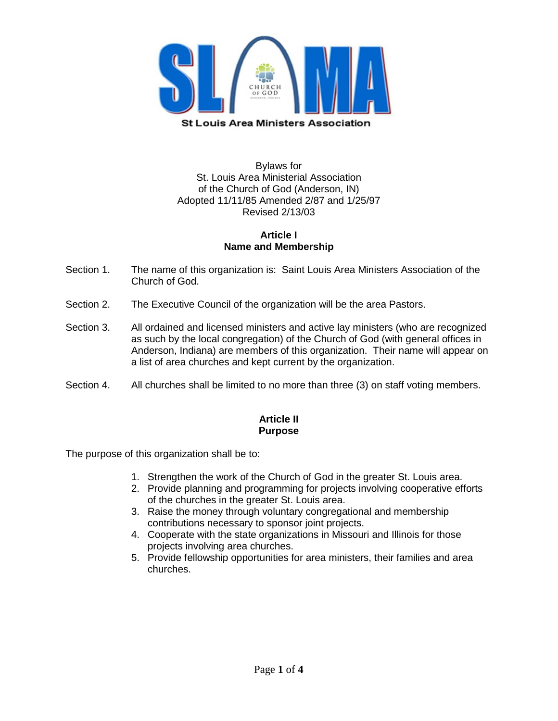

### Bylaws for St. Louis Area Ministerial Association of the Church of God (Anderson, IN) Adopted 11/11/85 Amended 2/87 and 1/25/97 Revised 2/13/03

#### **Article I Name and Membership**

- Section 1. The name of this organization is: Saint Louis Area Ministers Association of the Church of God.
- Section 2. The Executive Council of the organization will be the area Pastors.
- Section 3. All ordained and licensed ministers and active lay ministers (who are recognized as such by the local congregation) of the Church of God (with general offices in Anderson, Indiana) are members of this organization. Their name will appear on a list of area churches and kept current by the organization.
- Section 4. All churches shall be limited to no more than three (3) on staff voting members.

### **Article II Purpose**

The purpose of this organization shall be to:

- 1. Strengthen the work of the Church of God in the greater St. Louis area.
- 2. Provide planning and programming for projects involving cooperative efforts of the churches in the greater St. Louis area.
- 3. Raise the money through voluntary congregational and membership contributions necessary to sponsor joint projects.
- 4. Cooperate with the state organizations in Missouri and Illinois for those projects involving area churches.
- 5. Provide fellowship opportunities for area ministers, their families and area churches.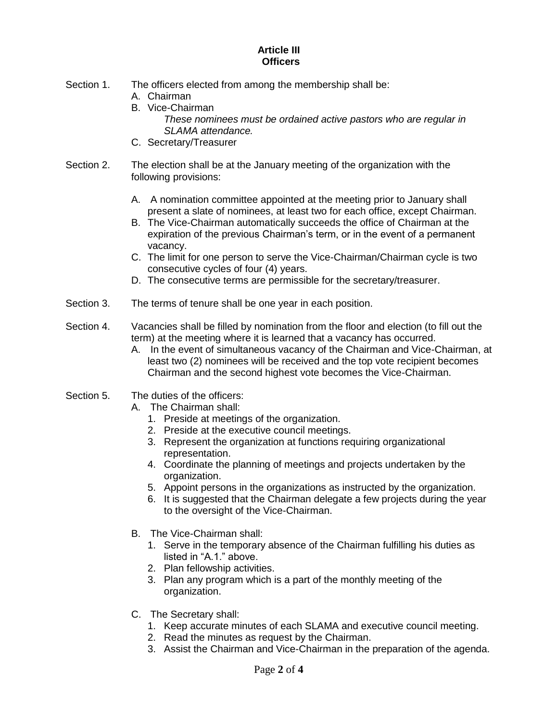#### **Article III Officers**

- Section 1. The officers elected from among the membership shall be:
	- A. Chairman
	- B. Vice-Chairman
		- *These nominees must be ordained active pastors who are regular in SLAMA attendance.*
	- C. Secretary/Treasurer
- Section 2. The election shall be at the January meeting of the organization with the following provisions:
	- A. A nomination committee appointed at the meeting prior to January shall present a slate of nominees, at least two for each office, except Chairman.
	- B. The Vice-Chairman automatically succeeds the office of Chairman at the expiration of the previous Chairman's term, or in the event of a permanent vacancy.
	- C. The limit for one person to serve the Vice-Chairman/Chairman cycle is two consecutive cycles of four (4) years.
	- D. The consecutive terms are permissible for the secretary/treasurer.
- Section 3. The terms of tenure shall be one year in each position.
- Section 4. Vacancies shall be filled by nomination from the floor and election (to fill out the term) at the meeting where it is learned that a vacancy has occurred.
	- A. In the event of simultaneous vacancy of the Chairman and Vice-Chairman, at least two (2) nominees will be received and the top vote recipient becomes Chairman and the second highest vote becomes the Vice-Chairman.
- Section 5. The duties of the officers:
	- A. The Chairman shall:
		- 1. Preside at meetings of the organization.
		- 2. Preside at the executive council meetings.
		- 3. Represent the organization at functions requiring organizational representation.
		- 4. Coordinate the planning of meetings and projects undertaken by the organization.
		- 5. Appoint persons in the organizations as instructed by the organization.
		- 6. It is suggested that the Chairman delegate a few projects during the year to the oversight of the Vice-Chairman.
	- B. The Vice-Chairman shall:
		- 1. Serve in the temporary absence of the Chairman fulfilling his duties as listed in "A.1." above.
		- 2. Plan fellowship activities.
		- 3. Plan any program which is a part of the monthly meeting of the organization.
	- C. The Secretary shall:
		- 1. Keep accurate minutes of each SLAMA and executive council meeting.
		- 2. Read the minutes as request by the Chairman.
		- 3. Assist the Chairman and Vice-Chairman in the preparation of the agenda.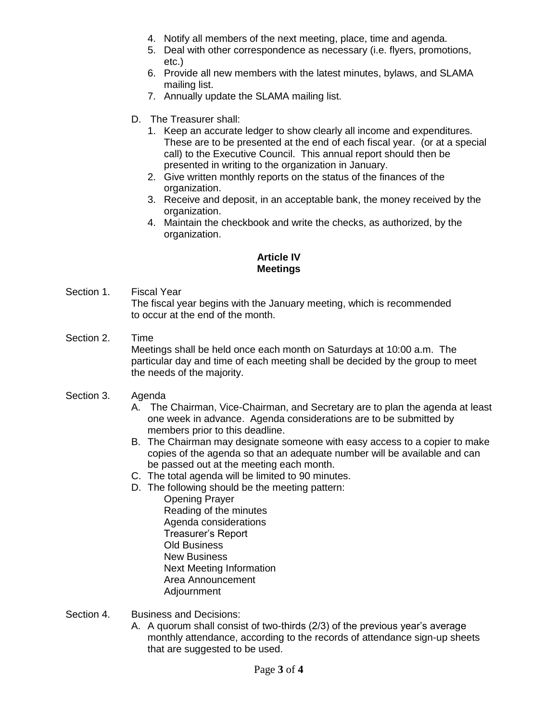- 4. Notify all members of the next meeting, place, time and agenda.
- 5. Deal with other correspondence as necessary (i.e. flyers, promotions, etc.)
- 6. Provide all new members with the latest minutes, bylaws, and SLAMA mailing list.
- 7. Annually update the SLAMA mailing list.
- D. The Treasurer shall:
	- 1. Keep an accurate ledger to show clearly all income and expenditures. These are to be presented at the end of each fiscal year. (or at a special call) to the Executive Council. This annual report should then be presented in writing to the organization in January.
	- 2. Give written monthly reports on the status of the finances of the organization.
	- 3. Receive and deposit, in an acceptable bank, the money received by the organization.
	- 4. Maintain the checkbook and write the checks, as authorized, by the organization.

# **Article IV Meetings**

- Section 1. Fiscal Year The fiscal year begins with the January meeting, which is recommended to occur at the end of the month.
- Section 2. Time Meetings shall be held once each month on Saturdays at 10:00 a.m. The particular day and time of each meeting shall be decided by the group to meet the needs of the majority.
- Section 3. Agenda
	- A. The Chairman, Vice-Chairman, and Secretary are to plan the agenda at least one week in advance. Agenda considerations are to be submitted by members prior to this deadline.
	- B. The Chairman may designate someone with easy access to a copier to make copies of the agenda so that an adequate number will be available and can be passed out at the meeting each month.
	- C. The total agenda will be limited to 90 minutes.
	- D. The following should be the meeting pattern:
		- Opening Prayer Reading of the minutes Agenda considerations Treasurer's Report Old Business New Business Next Meeting Information Area Announcement Adjournment
- Section 4. Business and Decisions:
	- A. A quorum shall consist of two-thirds (2/3) of the previous year's average monthly attendance, according to the records of attendance sign-up sheets that are suggested to be used.